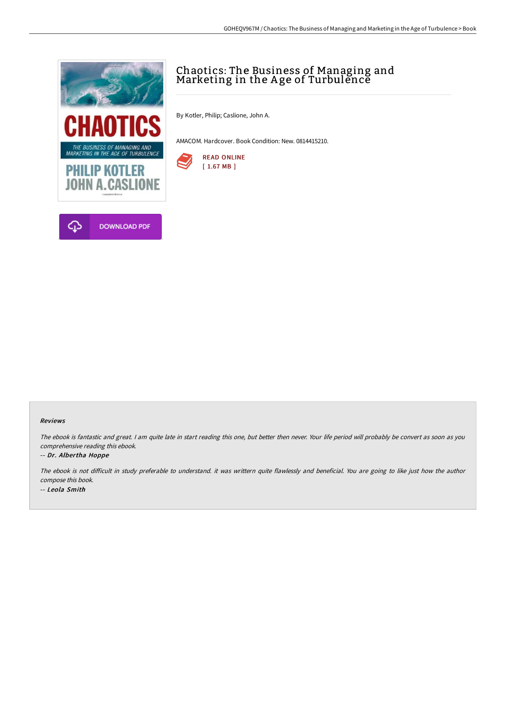

# Chaotics: The Business of Managing and Marketing in the Age of Turbulĕncĕ

By Kotler, Philip; Caslione, John A.

AMACOM. Hardcover. Book Condition: New. 0814415210.



### Reviews

The ebook is fantastic and great. I am quite late in start reading this one, but better then never. Your life period will probably be convert as soon as you comprehensive reading this ebook.

### -- Dr. Albertha Hoppe

The ebook is not difficult in study preferable to understand. it was writtern quite flawlessly and beneficial. You are going to like just how the author compose this book. -- Leola Smith